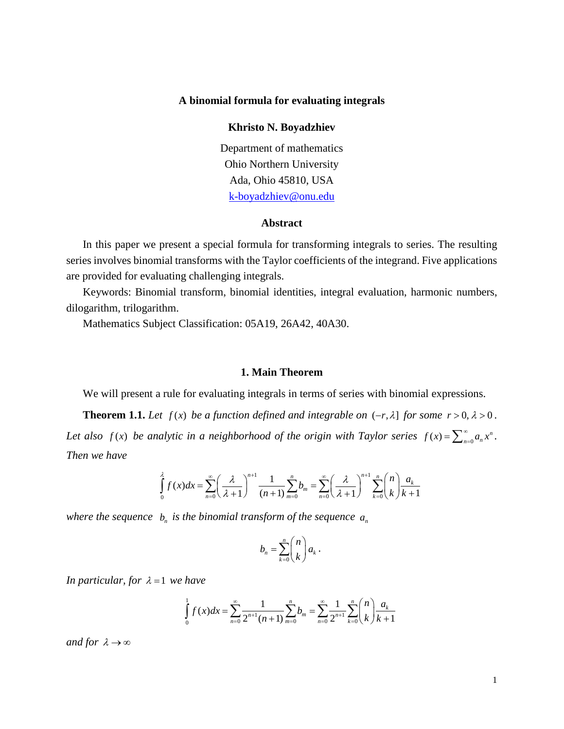## **A binomial formula for evaluating integrals**

# **Khristo N. Boyadzhiev**

Department of mathematics Ohio Northern University Ada, Ohio 45810, USA [k-boyadzhiev@onu.edu](mailto:k-boyadzhiev@onu.edu)

### **Abstract**

In this paper we present a special formula for transforming integrals to series. The resulting series involves binomial transforms with the Taylor coefficients of the integrand. Five applications are provided for evaluating challenging integrals.

Keywords: Binomial transform, binomial identities, integral evaluation, harmonic numbers, dilogarithm, trilogarithm.

Mathematics Subject Classification: 05A19, 26A42, 40A30.

#### **1. Main Theorem**

We will present a rule for evaluating integrals in terms of series with binomial expressions.

**Theorem 1.1.** *Let*  $f(x)$  *be a function defined and integrable on*  $(-r, \lambda]$  *for some r* > 0,  $\lambda$  > 0. *Let also f(x) be analytic in a neighborhood of the origin with Taylor series*  $f(x) = \sum_{n=0}^{\infty} a_n x^n$ *. Then we have*

$$
\int_{0}^{\lambda} f(x)dx = \sum_{n=0}^{\infty} \left(\frac{\lambda}{\lambda+1}\right)^{n+1} \frac{1}{(n+1)} \sum_{m=0}^{n} b_m = \sum_{n=0}^{\infty} \left(\frac{\lambda}{\lambda+1}\right)^{n+1} \sum_{k=0}^{n} {n \choose k} \frac{a_k}{k+1}
$$

*where the sequence*  $b_n$  *is the binomial transform of the sequence*  $a_n$ 

$$
b_n = \sum_{k=0}^n {n \choose k} a_k.
$$

*In particular, for*  $\lambda = 1$  *we have* 

$$
\int_{0}^{1} f(x)dx = \sum_{n=0}^{\infty} \frac{1}{2^{n+1}(n+1)} \sum_{m=0}^{n} b_m = \sum_{n=0}^{\infty} \frac{1}{2^{n+1}} \sum_{k=0}^{n} {n \choose k} \frac{a_k}{k+1}
$$

*and for*  $\lambda \rightarrow \infty$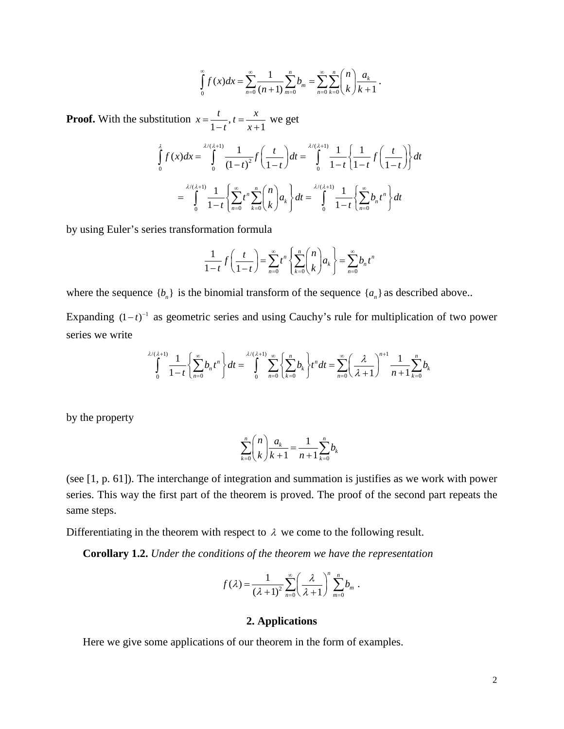$$
\int_{0}^{\infty} f(x)dx = \sum_{n=0}^{\infty} \frac{1}{(n+1)} \sum_{m=0}^{n} b_m = \sum_{n=0}^{\infty} \sum_{k=0}^{n} {n \choose k} \frac{a_k}{k+1}.
$$

**Proof.** With the substitution  $x = \frac{t}{1-t}$ ,  $t = \frac{x}{x+1}$  we get

$$
\int_{0}^{\lambda} f(x)dx = \int_{0}^{\lambda/(\lambda+1)} \frac{1}{(1-t)^2} f\left(\frac{t}{1-t}\right)dt = \int_{0}^{\lambda/(\lambda+1)} \frac{1}{1-t} \left\{\frac{1}{1-t} f\left(\frac{t}{1-t}\right)\right\} dt
$$
\n
$$
= \int_{0}^{\lambda/(\lambda+1)} \frac{1}{1-t} \left\{\sum_{n=0}^{\infty} t^n \sum_{k=0}^{n} \binom{n}{k} a_k \right\} dt = \int_{0}^{\lambda/(\lambda+1)} \frac{1}{1-t} \left\{\sum_{n=0}^{\infty} b_n t^n \right\} dt
$$

by using Euler's series transformation formula

$$
\frac{1}{1-t}f\left(\frac{t}{1-t}\right) = \sum_{n=0}^{\infty} t^n \left\{ \sum_{k=0}^n {n \choose k} a_k \right\} = \sum_{n=0}^{\infty} b_n t^n
$$

where the sequence  ${b_n}$  is the binomial transform of the sequence  ${a_n}$  as described above..

Expanding  $(1 - t)^{-1}$  as geometric series and using Cauchy's rule for multiplication of two power series we write

$$
\int_{0}^{\lambda/(\lambda+1)} \frac{1}{1-t} \left\{ \sum_{n=0}^{\infty} b_n t^n \right\} dt = \int_{0}^{\lambda/(\lambda+1)} \sum_{n=0}^{\infty} \left\{ \sum_{k=0}^{n} b_k \right\} t^n dt = \sum_{n=0}^{\infty} \left( \frac{\lambda}{\lambda+1} \right)^{n+1} \frac{1}{n+1} \sum_{k=0}^{n} b_k
$$

by the property

$$
\sum_{k=0}^{n} {n \choose k} \frac{a_k}{k+1} = \frac{1}{n+1} \sum_{k=0}^{n} b_k
$$

(see [1, p. 61]). The interchange of integration and summation is justifies as we work with power series. This way the first part of the theorem is proved. The proof of the second part repeats the same steps.

Differentiating in the theorem with respect to  $\lambda$  we come to the following result.

**Corollary 1.2.** *Under the conditions of the theorem we have the representation*

$$
f(\lambda) = \frac{1}{(\lambda+1)^2} \sum_{n=0}^{\infty} \left(\frac{\lambda}{\lambda+1}\right)^n \sum_{m=0}^n b_m.
$$

## **2. Applications**

Here we give some applications of our theorem in the form of examples.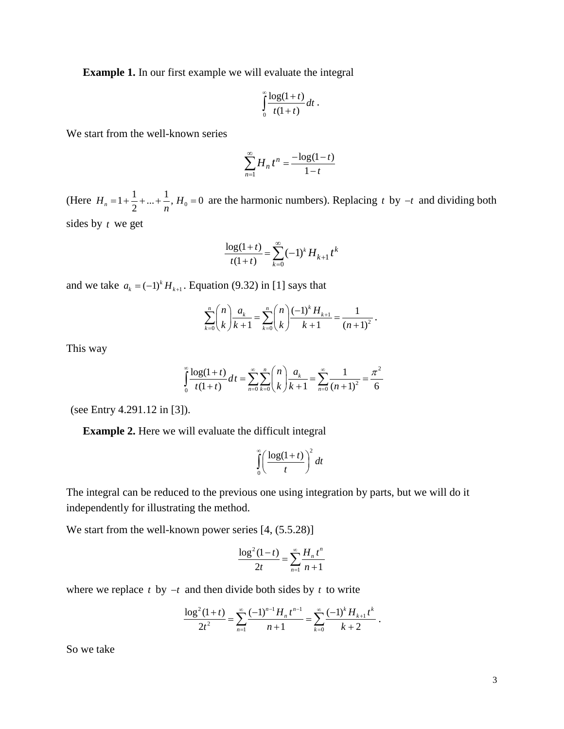**Example 1.** In our first example we will evaluate the integral

$$
\int\limits_{0}^{\infty}\frac{\log(1+t)}{t(1+t)}dt.
$$

We start from the well-known series

$$
\sum_{n=1}^{\infty} H_n t^n = \frac{-\log(1-t)}{1-t}
$$

(Here  $H_n = 1 + \frac{1}{2} + ... + \frac{1}{n}$ ,  $H_0 = 0$  are the harmonic numbers). Replacing *t* by  $-t$  and dividing both sides by *t* we get

$$
\frac{\log(1+t)}{t(1+t)} = \sum_{k=0}^{\infty} (-1)^k H_{k+1} t^k
$$

and we take  $a_k = (-1)^k H_{k+1}$ . Equation (9.32) in [1] says that

$$
\sum_{k=0}^{n} {n \choose k} \frac{a_k}{k+1} = \sum_{k=0}^{n} {n \choose k} \frac{(-1)^k H_{k+1}}{k+1} = \frac{1}{(n+1)^2}.
$$

This way

$$
\int_{0}^{\infty} \frac{\log(1+t)}{t(1+t)} dt = \sum_{n=0}^{\infty} \sum_{k=0}^{n} {n \choose k} \frac{a_k}{k+1} = \sum_{n=0}^{\infty} \frac{1}{(n+1)^2} = \frac{\pi^2}{6}
$$

(see Entry 4.291.12 in [3]).

**Example 2.** Here we will evaluate the difficult integral

$$
\int_{0}^{\infty} \left(\frac{\log(1+t)}{t}\right)^2 dt
$$

The integral can be reduced to the previous one using integration by parts, but we will do it independently for illustrating the method.

We start from the well-known power series [4, (5.5.28)]

$$
\frac{\log^2(1-t)}{2t} = \sum_{n=1}^{\infty} \frac{H_n t^n}{n+1}
$$

where we replace  $t$  by  $-t$  and then divide both sides by  $t$  to write

$$
\frac{\log^2(1+t)}{2t^2} = \sum_{n=1}^{\infty} \frac{(-1)^{n-1} H_n t^{n-1}}{n+1} = \sum_{k=0}^{\infty} \frac{(-1)^k H_{k+1} t^k}{k+2}.
$$

So we take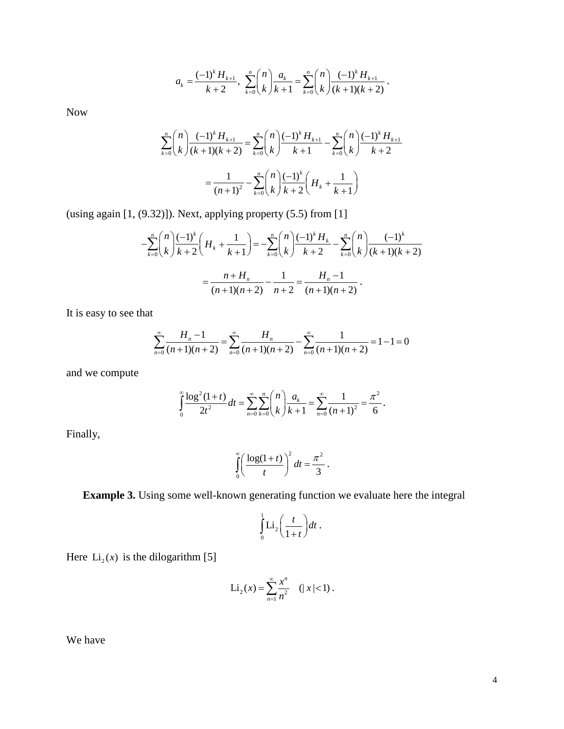$$
a_k = \frac{(-1)^k H_{k+1}}{k+2}, \sum_{k=0}^n {n \choose k} \frac{a_k}{k+1} = \sum_{k=0}^n {n \choose k} \frac{(-1)^k H_{k+1}}{(k+1)(k+2)}.
$$

Now

$$
\sum_{k=0}^{n} {n \choose k} \frac{(-1)^{k} H_{k+1}}{(k+1)(k+2)} = \sum_{k=0}^{n} {n \choose k} \frac{(-1)^{k} H_{k+1}}{k+1} - \sum_{k=0}^{n} {n \choose k} \frac{(-1)^{k} H_{k+1}}{k+2}
$$

$$
= \frac{1}{(n+1)^{2}} - \sum_{k=0}^{n} {n \choose k} \frac{(-1)^{k}}{k+2} \left( H_{k} + \frac{1}{k+1} \right)
$$

(using again [1, (9.32)]). Next, applying property (5.5) from [1]

$$
-\sum_{k=0}^{n} {n \choose k} \frac{(-1)^k}{k+2} \left(H_k + \frac{1}{k+1}\right) = -\sum_{k=0}^{n} {n \choose k} \frac{(-1)^k H_k}{k+2} - \sum_{k=0}^{n} {n \choose k} \frac{(-1)^k}{(k+1)(k+2)}
$$

$$
= \frac{n+H_n}{(n+1)(n+2)} - \frac{1}{n+2} = \frac{H_n - 1}{(n+1)(n+2)}.
$$

It is easy to see that

$$
\sum_{n=0}^{\infty} \frac{H_n - 1}{(n+1)(n+2)} = \sum_{n=0}^{\infty} \frac{H_n}{(n+1)(n+2)} - \sum_{n=0}^{\infty} \frac{1}{(n+1)(n+2)} = 1 - 1 = 0
$$

and we compute

$$
\int_{0}^{\infty} \frac{\log^2(1+t)}{2t^2} dt = \sum_{n=0}^{\infty} \sum_{k=0}^{n} {n \choose k} \frac{a_k}{k+1} = \sum_{n=0}^{\infty} \frac{1}{(n+1)^2} = \frac{\pi^2}{6}.
$$

Finally,

$$
\int_{0}^{\infty} \left(\frac{\log(1+t)}{t}\right)^2 dt = \frac{\pi^2}{3}.
$$

**Example 3.** Using some well-known generating function we evaluate here the integral

$$
\int_{0}^{1} \text{Li}_2\bigg(\frac{t}{1+t}\bigg)dt.
$$

Here  $Li_2(x)$  is the dilogarithm [5]

$$
\text{Li}_2(x) = \sum_{n=1}^{\infty} \frac{x^n}{n^2} \quad (|x| < 1) \, .
$$

We have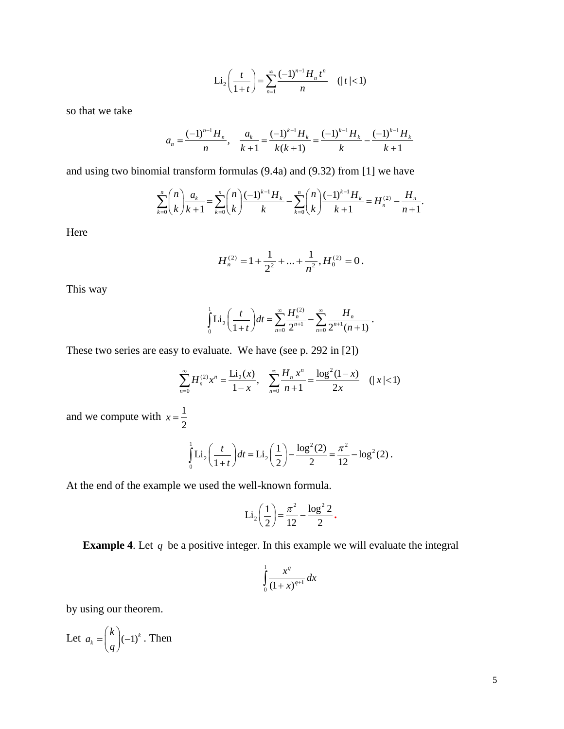$$
\text{Li}_2\left(\frac{t}{1+t}\right) = \sum_{n=1}^{\infty} \frac{(-1)^{n-1} H_n t^n}{n} \quad (|t| < 1)
$$

so that we take

$$
a_n = \frac{(-1)^{n-1}H_n}{n}, \quad \frac{a_k}{k+1} = \frac{(-1)^{k-1}H_k}{k(k+1)} = \frac{(-1)^{k-1}H_k}{k} - \frac{(-1)^{k-1}H_k}{k+1}
$$

and using two binomial transform formulas (9.4a) and (9.32) from [1] we have

$$
\sum_{k=0}^n \binom{n}{k} \frac{a_k}{k+1} = \sum_{k=0}^n \binom{n}{k} \frac{(-1)^{k-1} H_k}{k} - \sum_{k=0}^n \binom{n}{k} \frac{(-1)^{k-1} H_k}{k+1} = H_n^{(2)} - \frac{H_n}{n+1}.
$$

Here

$$
H_n^{(2)} = 1 + \frac{1}{2^2} + \dots + \frac{1}{n^2}, H_0^{(2)} = 0.
$$

This way

$$
\int_{0}^{1} \text{Li}_2\left(\frac{t}{1+t}\right) dt = \sum_{n=0}^{\infty} \frac{H_n^{(2)}}{2^{n+1}} - \sum_{n=0}^{\infty} \frac{H_n}{2^{n+1}(n+1)}.
$$

These two series are easy to evaluate. We have (see p. 292 in [2])

$$
\sum_{n=0}^{\infty} H_n^{(2)} x^n = \frac{\text{Li}_2(x)}{1-x}, \quad \sum_{n=0}^{\infty} \frac{H_n x^n}{n+1} = \frac{\log^2(1-x)}{2x} \quad (|x| < 1)
$$

and we compute with  $x = \frac{1}{2}$ 2  $x =$ 

$$
\int_0^1 \text{Li}_2\left(\frac{t}{1+t}\right) dt = \text{Li}_2\left(\frac{1}{2}\right) - \frac{\log^2(2)}{2} = \frac{\pi^2}{12} - \log^2(2).
$$

At the end of the example we used the well-known formula.

$$
Li_2\left(\frac{1}{2}\right) = \frac{\pi^2}{12} - \frac{\log^2 2}{2}.
$$

**Example 4.** Let *q* be a positive integer. In this example we will evaluate the integral

$$
\int\limits_0^1 \frac{x^q}{(1+x)^{q+1}} dx
$$

by using our theorem.

Let 
$$
a_k = \binom{k}{q} (-1)^k
$$
. Then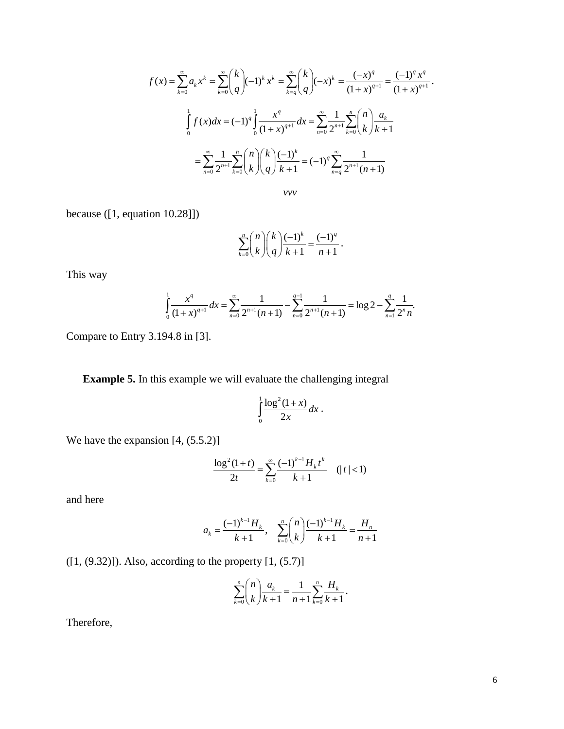$$
f(x) = \sum_{k=0}^{\infty} a_k x^k = \sum_{k=0}^{\infty} {k \choose q} (-1)^k x^k = \sum_{k=q}^{\infty} {k \choose q} (-x)^k = \frac{(-x)^q}{(1+x)^{q+1}} = \frac{(-1)^q x^q}{(1+x)^{q+1}}.
$$

$$
\int_{0}^{1} f(x) dx = (-1)^q \int_{0}^{1} \frac{x^q}{(1+x)^{q+1}} dx = \sum_{n=0}^{\infty} \frac{1}{2^{n+1}} \sum_{k=0}^{n} {n \choose k} \frac{a_k}{k+1}
$$

$$
= \sum_{n=0}^{\infty} \frac{1}{2^{n+1}} \sum_{k=0}^{n} {n \choose k} {k \choose q} \frac{(-1)^k}{k+1} = (-1)^q \sum_{n=q}^{\infty} \frac{1}{2^{n+1}(n+1)}
$$

*vvv*

because ([1, equation 10.28]])

$$
\sum_{k=0}^{n} {n \choose k} {k \choose q} \frac{(-1)^k}{k+1} = \frac{(-1)^q}{n+1}.
$$

This way

$$
\int_{0}^{1} \frac{x^{q}}{(1+x)^{q+1}} dx = \sum_{n=0}^{\infty} \frac{1}{2^{n+1}(n+1)} - \sum_{n=0}^{q-1} \frac{1}{2^{n+1}(n+1)} = \log 2 - \sum_{n=1}^{q} \frac{1}{2^{n}n}.
$$

Compare to Entry 3.194.8 in [3].

**Example 5.** In this example we will evaluate the challenging integral

$$
\int\limits_{0}^{1}\frac{\log^{2}(1+x)}{2x}dx.
$$

We have the expansion [4,  $(5.5.2)$ ]

$$
\frac{\log^2(1+t)}{2t} = \sum_{k=0}^{\infty} \frac{(-1)^{k-1} H_k t^k}{k+1} \quad (|t| < 1)
$$

and here

$$
a_k = \frac{(-1)^{k-1}H_k}{k+1}, \quad \sum_{k=0}^n \binom{n}{k} \frac{(-1)^{k-1}H_k}{k+1} = \frac{H_n}{n+1}
$$

 $([1, (9.32)])$ . Also, according to the property  $[1, (5.7)]$ 

$$
\sum_{k=0}^{n} {n \choose k} \frac{a_k}{k+1} = \frac{1}{n+1} \sum_{k=0}^{n} \frac{H_k}{k+1}.
$$

Therefore,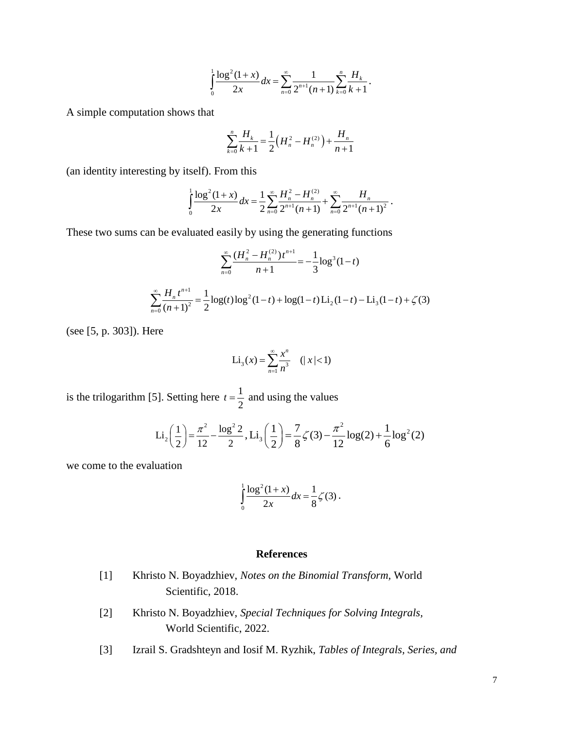$$
\int_{0}^{1} \frac{\log^{2}(1+x)}{2x} dx = \sum_{n=0}^{\infty} \frac{1}{2^{n+1}(n+1)} \sum_{k=0}^{n} \frac{H_{k}}{k+1}.
$$

A simple computation shows that

$$
\sum_{k=0}^{n} \frac{H_k}{k+1} = \frac{1}{2} \left( H_n^2 - H_n^{(2)} \right) + \frac{H_n}{n+1}
$$

(an identity interesting by itself). From this

$$
\int_0^1 \frac{\log^2(1+x)}{2x} dx = \frac{1}{2} \sum_{n=0}^\infty \frac{H_n^2 - H_n^{(2)}}{2^{n+1}(n+1)} + \sum_{n=0}^\infty \frac{H_n}{2^{n+1}(n+1)^2}.
$$

These two sums can be evaluated easily by using the generating functions

$$
\sum_{n=0}^{\infty} \frac{(H_n^2 - H_n^{(2)})t^{n+1}}{n+1} = -\frac{1}{3}\log^3(1-t)
$$

$$
\sum_{n=0}^{\infty} \frac{H_n t^{n+1}}{(n+1)^2} = \frac{1}{2}\log(t)\log^2(1-t) + \log(1-t)\operatorname{Li}_2(1-t) - \operatorname{Li}_3(1-t) + \zeta(3)
$$

(see [5, p. 303]). Here

$$
\text{Li}_3(x) = \sum_{n=1}^{\infty} \frac{x^n}{n^3} \quad (|x| < 1)
$$

is the trilogarithm [5]. Setting here  $t = \frac{1}{2}$ 2  $t = \frac{1}{2}$  and using the values

$$
Li_2\left(\frac{1}{2}\right) = \frac{\pi^2}{12} - \frac{\log^2 2}{2}, Li_3\left(\frac{1}{2}\right) = \frac{7}{8}\zeta(3) - \frac{\pi^2}{12}\log(2) + \frac{1}{6}\log^2(2)
$$

we come to the evaluation

$$
\int_{0}^{1} \frac{\log^{2}(1+x)}{2x} dx = \frac{1}{8}\zeta(3).
$$

# **References**

- [1] Khristo N. Boyadzhiev, *Notes on the Binomial Transform,* World Scientific, 2018.
- [2] Khristo N. Boyadzhiev, *Special Techniques for Solving Integrals,* World Scientific, 2022.
- [3] Izrail S. Gradshteyn and Iosif M. Ryzhik, *Tables of Integrals, Series, and*